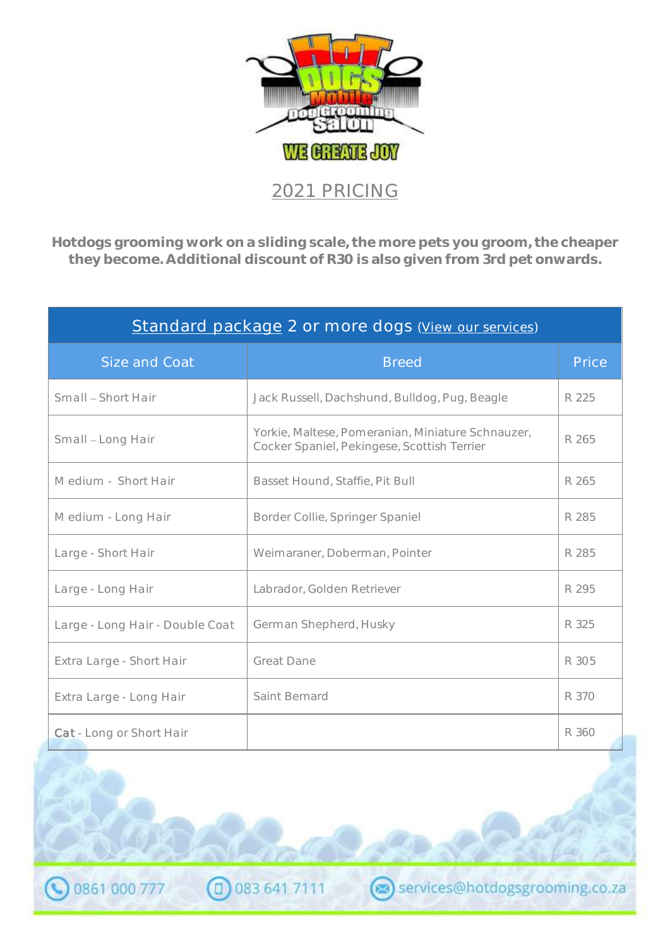

| Standard package 2 or more dogs (View our services) |                                                                                                  |       |  |  |
|-----------------------------------------------------|--------------------------------------------------------------------------------------------------|-------|--|--|
| Size and Coat                                       | <b>Breed</b>                                                                                     | Price |  |  |
| Small - Short Hair                                  | Jack Russell, Dachshund, Bulldog, Pug, Beagle                                                    | R 225 |  |  |
| Small - Long Hair                                   | Yorkie, Maltese, Pomeranian, Miniature Schnauzer,<br>Cocker Spaniel, Pekingese, Scottish Terrier | R 265 |  |  |
| Medium - Short Hair                                 | Basset Hound, Staffie, Pit Bull                                                                  | R 265 |  |  |
| Medium - Long Hair                                  | Border Collie, Springer Spaniel                                                                  | R 285 |  |  |
| Large - Short Hair                                  | Weimaraner, Doberman, Pointer                                                                    | R 285 |  |  |
| Large - Long Hair                                   | Labrador, Golden Retriever                                                                       | R 295 |  |  |
| Large - Long Hair - Double Coat                     | German Shepherd, Husky                                                                           | R 325 |  |  |
| Extra Large - Short Hair                            | <b>Great Dane</b>                                                                                | R 305 |  |  |
| Extra Large - Long Hair                             | Saint Bernard                                                                                    | R 370 |  |  |
| Cat - Long or Short Hair                            |                                                                                                  | R 360 |  |  |

(D) 083 641 7111

0861 000 777

services@hotdogsgrooming.co.za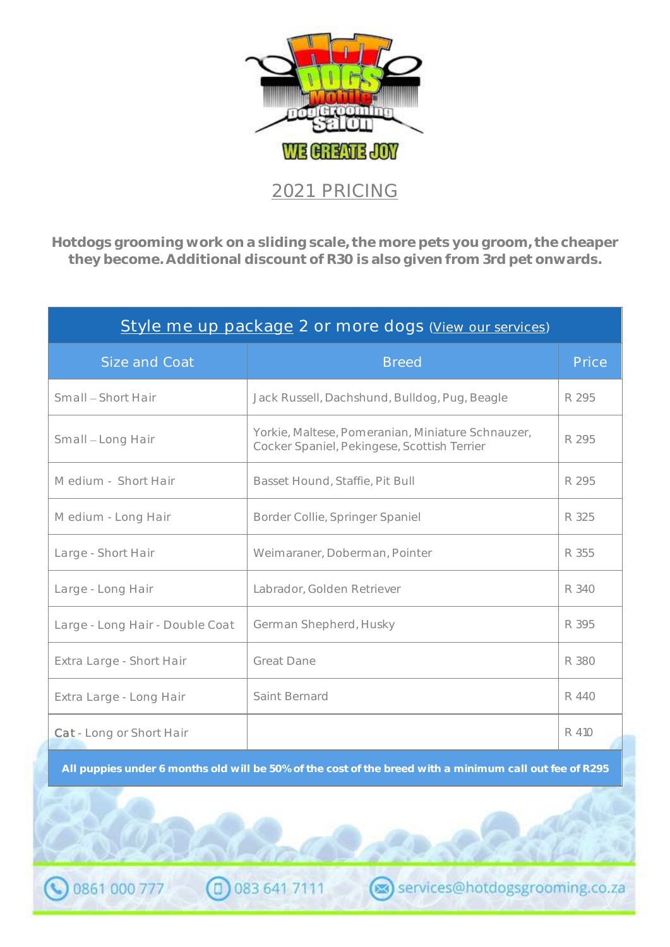

| Style me up package 2 or more dogs (View our services) |                                                                                                  |       |  |
|--------------------------------------------------------|--------------------------------------------------------------------------------------------------|-------|--|
| Size and Coat                                          | <b>Breed</b>                                                                                     | Price |  |
| Small - Short Hair                                     | Jack Russell, Dachshund, Bulldog, Pug, Beagle                                                    | R 295 |  |
| Small - Long Hair                                      | Yorkie, Maltese, Pomeranian, Miniature Schnauzer,<br>Cocker Spaniel, Pekingese, Scottish Terrier | R 295 |  |
| Medium - Short Hair                                    | Basset Hound, Staffie, Pit Bull                                                                  | R 295 |  |
| Medium - Long Hair                                     | Border Collie, Springer Spaniel                                                                  | R 325 |  |
| Large - Short Hair                                     | Weimaraner, Doberman, Pointer                                                                    | R 355 |  |
| Large - Long Hair                                      | Labrador, Golden Retriever                                                                       | R 340 |  |
| Large - Long Hair - Double Coat                        | German Shepherd, Husky                                                                           | R 395 |  |
| Extra Large - Short Hair                               | Great Dane                                                                                       | R 380 |  |
| Extra Large - Long Hair                                | Saint Bernard                                                                                    | R 440 |  |
| <b>Cat</b> - Long or Short Hair                        |                                                                                                  | R 410 |  |

**All puppies under 6 months old will be 50% of the cost of the breed with a minimum call out fee of R295**

C 083 641 7111

0861 000 777

services@hotdogsgrooming.co.za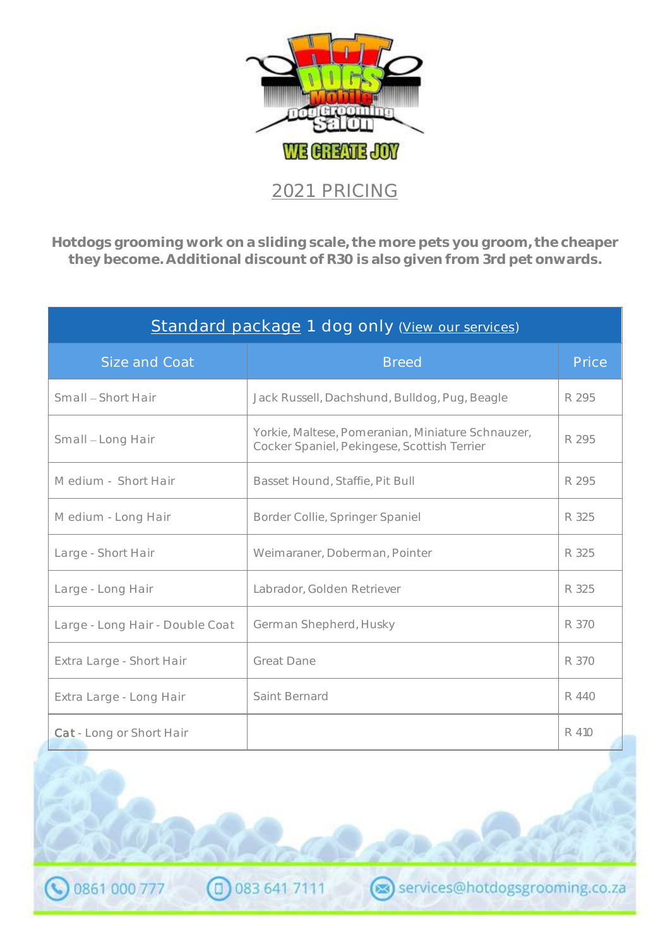

| Standard package 1 dog only (View our services) |                                                                                                  |       |  |
|-------------------------------------------------|--------------------------------------------------------------------------------------------------|-------|--|
| Size and Coat                                   | <b>Breed</b>                                                                                     | Price |  |
| Small – Short Hair                              | Jack Russell, Dachshund, Bulldog, Pug, Beagle                                                    | R 295 |  |
| Small - Long Hair                               | Yorkie, Maltese, Pomeranian, Miniature Schnauzer,<br>Cocker Spaniel, Pekingese, Scottish Terrier | R 295 |  |
| Medium - Short Hair                             | Basset Hound, Staffie, Pit Bull                                                                  | R 295 |  |
| Medium - Long Hair                              | Border Collie, Springer Spaniel                                                                  | R 325 |  |
| Large - Short Hair                              | Weimaraner, Doberman, Pointer                                                                    | R 325 |  |
| Large - Long Hair                               | Labrador, Golden Retriever                                                                       | R 325 |  |
| Large - Long Hair - Double Coat                 | German Shepherd, Husky                                                                           | R 370 |  |
| Extra Large - Short Hair                        | <b>Great Dane</b>                                                                                | R 370 |  |
| Extra Large - Long Hair                         | Saint Bernard                                                                                    | R 440 |  |
| Cat - Long or Short Hair                        |                                                                                                  | R 410 |  |

services@hotdogsgrooming.co.za

CD 083 641 7111

0861 000 777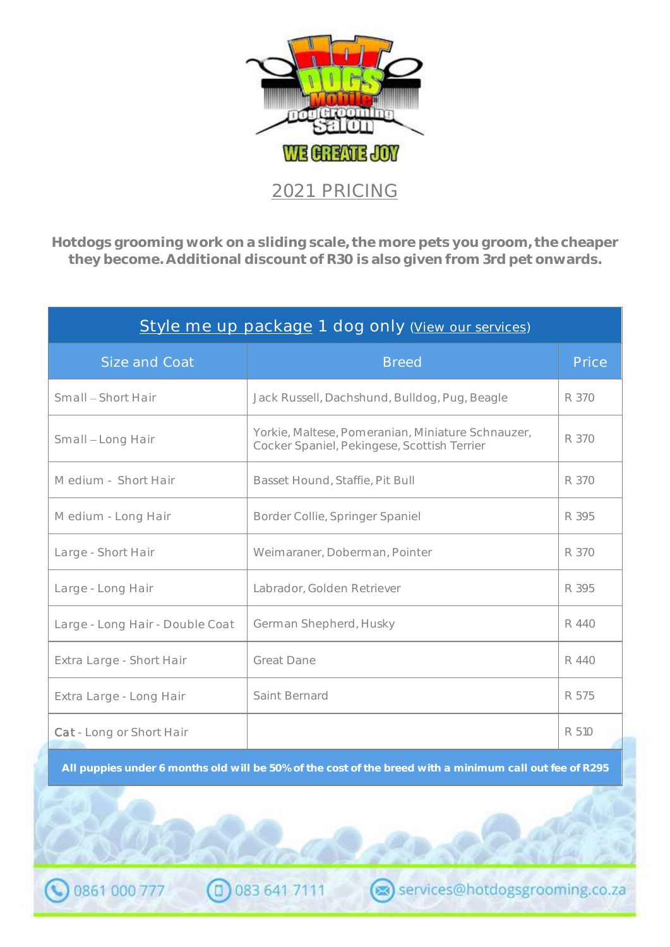

| Style me up package 1 dog only (View our services) |                                                                                                  |       |  |
|----------------------------------------------------|--------------------------------------------------------------------------------------------------|-------|--|
| Size and Coat                                      | <b>Breed</b>                                                                                     | Price |  |
| Small – Short Hair                                 | Jack Russell, Dachshund, Bulldog, Pug, Beagle                                                    | R 370 |  |
| Small - Long Hair                                  | Yorkie, Maltese, Pomeranian, Miniature Schnauzer,<br>Cocker Spaniel, Pekingese, Scottish Terrier | R 370 |  |
| Medium - Short Hair                                | Basset Hound, Staffie, Pit Bull                                                                  | R 370 |  |
| Medium - Long Hair                                 | Border Collie, Springer Spaniel                                                                  | R 395 |  |
| Large - Short Hair                                 | Weimaraner, Doberman, Pointer                                                                    | R 370 |  |
| Large - Long Hair                                  | Labrador, Golden Retriever                                                                       | R 395 |  |
| Large - Long Hair - Double Coat                    | German Shepherd, Husky                                                                           | R 440 |  |
| Extra Large - Short Hair                           | Great Dane                                                                                       | R 440 |  |
| Extra Large - Long Hair                            | Saint Bernard                                                                                    | R 575 |  |
| Cat - Long or Short Hair                           |                                                                                                  | R 510 |  |

**All puppies under 6 months old will be 50% of the cost of the breed with a minimum call out fee of R295**

(0) 083 641 7111

0861 000 777